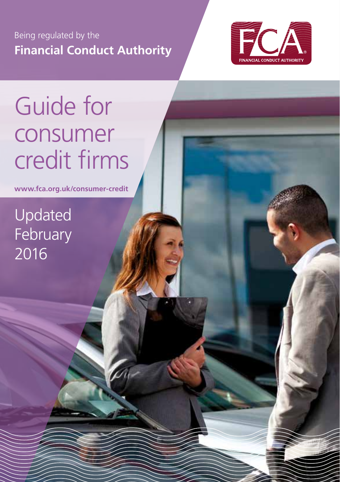Being regulated by the **Financial Conduct Authority** 



# Guide for consumer credit firms

**[www.fca.org.uk/consumer-credit](http://www.fca.org.uk/consumer-credit)**

Updated February 2016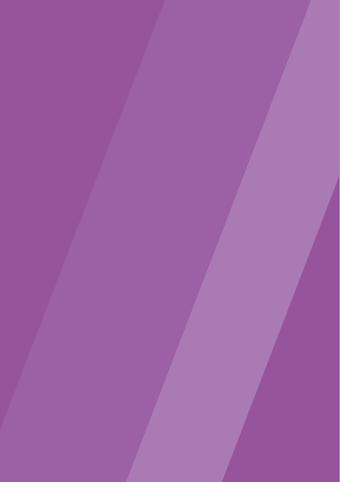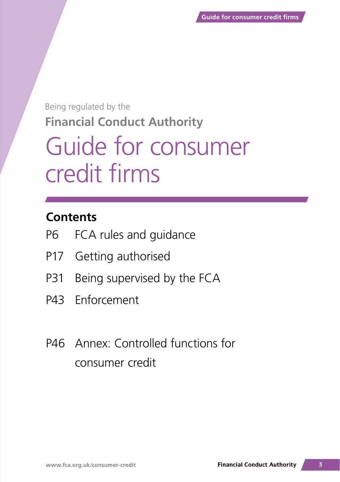Being regulated by the **Financial Conduct Authority** Guide for consumer credit firms

### **Contents**

- [P6 FCA rules and guidance](#page-5-0)
- [P17 Getting authorised](#page-16-0)
- [P31 Being supervised by the FCA](#page-30-0)
- P43 [Enforcement](#page-42-0)
- [P46 Annex: Controlled functions for](#page-45-0) [consumer credit](#page-45-0)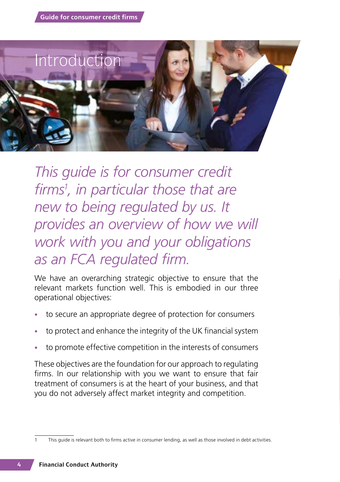

*This guide is for consumer credit firms1 , in particular those that are new to being regulated by us. It provides an overview of how we will work with you and your obligations as an FCA regulated firm.*

We have an overarching strategic objective to ensure that the relevant markets function well. This is embodied in our three operational objectives:

- **•** to secure an appropriate degree of protection for consumers
- **•** to protect and enhance the integrity of the UK financial system
- **•** to promote effective competition in the interests of consumers

These objectives are the foundation for our approach to regulating firms. In our relationship with you we want to ensure that fair treatment of consumers is at the heart of your business, and that you do not adversely affect market integrity and competition.

This quide is relevant both to firms active in consumer lending, as well as those involved in debt activities.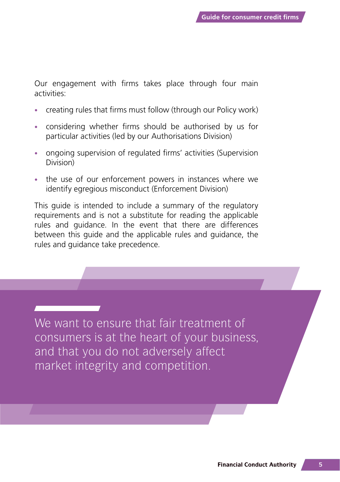Our engagement with firms takes place through four main activities:

- **•** creating rules that firms must follow (through our Policy work)
- **•** considering whether firms should be authorised by us for particular activities (led by our Authorisations Division)
- **•** ongoing supervision of regulated firms' activities (Supervision Division)
- **•** the use of our enforcement powers in instances where we identify egregious misconduct (Enforcement Division)

This guide is intended to include a summary of the regulatory requirements and is not a substitute for reading the applicable rules and guidance. In the event that there are differences between this guide and the applicable rules and guidance, the rules and guidance take precedence.

We want to ensure that fair treatment of consumers is at the heart of your business, and that you do not adversely affect market integrity and competition.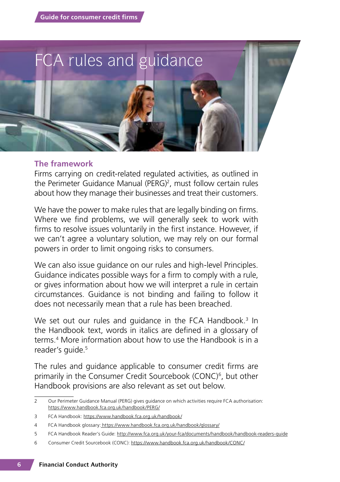<span id="page-5-0"></span>

#### **The framework**

Firms carrying on credit-related regulated activities, as outlined in the Perimeter Guidance Manual ([PERG\)](https://www.handbook.fca.org.uk/handbook/PERG/)2 , must follow certain rules about how they manage their businesses and treat their customers.

We have the power to make rules that are legally binding on firms. Where we find problems, we will generally seek to work with firms to resolve issues voluntarily in the first instance. However, if we can't agree a voluntary solution, we may rely on our formal powers in order to limit ongoing risks to consumers.

We can also issue quidance on our rules and high-level Principles. Guidance indicates possible ways for a firm to comply with a rule, or gives information about how we will interpret a rule in certain circumstances. Guidance is not binding and failing to follow it does not necessarily mean that a rule has been breached.

We set out our rules and guidance in the FCA Handbook. $3$  In the [Handbook](https://www.handbook.fca.org.uk/handbook/) text, words in italics are defined in a [glossary of](https://www.handbook.fca.org.uk/handbook/glossary/)  [terms](https://www.handbook.fca.org.uk/handbook/glossary/).4 More information about how to use the Handbook is in a reader's quide.<sup>5</sup>

The rules and guidance applicable to consumer credit firms are primarily in the Consumer Credit Sourcebook [\(CONC\)](https://www.handbook.fca.org.uk/handbook/CONC/)6, but other Handbook provisions are also relevant as set out below.

<sup>2</sup> Our Perimeter Guidance Manual (PERG) gives guidance on which activities require FCA authorisation: <https://www.handbook.fca.org.uk/handbook/PERG/>

<sup>3</sup> FCA Handbook:<https://www.handbook.fca.org.uk/handbook/>

<sup>4</sup> FCA Handbook glossary:<https://www.handbook.fca.org.uk/handbook/glossary/>

<sup>5</sup> FCA Handbook Reader's Guide:<http://www.fca.org.uk/your-fca/documents/handbook/handbook-readers-guide>

<sup>6</sup> Consumer Credit Sourcebook (CONC): <https://www.handbook.fca.org.uk/handbook/CONC/>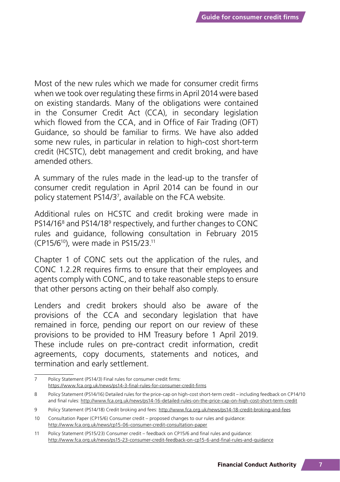Most of the new rules which we made for consumer credit firms when we took over regulating these firms in April 2014 were based on existing standards. Many of the obligations were contained in the Consumer Credit Act (CCA), in secondary legislation which flowed from the CCA, and in Office of Fair Trading (OFT) Guidance, so should be familiar to firms. We have also added some new rules, in particular in relation to high-cost short-term credit (HCSTC), debt management and credit broking, and have amended others.

A summary of the rules made in the lead-up to the transfer of consumer credit regulation in April 2014 can be found in our policy statement [PS14/3](https://www.fca.org.uk/news/ps14-3-final-rules-for-consumer-credit-firms)7 , available on the FCA website.

Additional rules on HCSTC and credit broking were made in [PS14/16](http://www.fca.org.uk/news/ps14-16-detailed-rules-on-the-price-cap-on-high-cost-short-term-credit)<sup>8</sup> and [PS14/18](http://www.fca.org.uk/news/ps14-18-credit-broking-and-fees)<sup>9</sup> respectively, and further changes to CONC rules and guidance, following consultation in February 2015 [\(CP15/61](http://www.fca.org.uk/news/cp15-06-consumer-credit-consultation-paper)0), were made in [PS15/23](http://www.fca.org.uk/news/ps15-23-consumer-credit-feedback-on-cp15-6-and-final-rules-and-guidance).11

Chapter 1 of CONC sets out the application of the rules, and CONC 1.2.2R requires firms to ensure that their employees and agents comply with CONC, and to take reasonable steps to ensure that other persons acting on their behalf also comply.

Lenders and credit brokers should also be aware of the provisions of the CCA and secondary legislation that have remained in force, pending our report on our review of these provisions to be provided to HM Treasury before 1 April 2019. These include rules on pre-contract credit information, credit agreements, copy documents, statements and notices, and termination and early settlement.

<sup>7</sup> Policy Statement (PS14/3) Final rules for consumer credit firms: <https://www.fca.org.uk/news/ps14-3-final-rules-for-consumer-credit-firms>

<sup>8</sup> Policy Statement (PS14/16) Detailed rules for the price-cap on high-cost short-term credit – including feedback on CP14/10 and final rules: <http://www.fca.org.uk/news/ps14-16-detailed-rules-on-the-price-cap-on-high-cost-short-term-credit>

<sup>9</sup> Policy Statement (PS14/18) Credit broking and fees:<http://www.fca.org.uk/news/ps14-18-credit-broking-and-fees>

<sup>10</sup> Consultation Paper (CP15/6) Consumer credit – proposed changes to our rules and guidance: <http://www.fca.org.uk/news/cp15-06-consumer-credit-consultation-paper>

<sup>11</sup> Policy Statement (PS15/23) Consumer credit – feedback on CP15/6 and final rules and guidance: <http://www.fca.org.uk/news/ps15-23-consumer-credit-feedback-on-cp15-6-and-final-rules-and-guidance>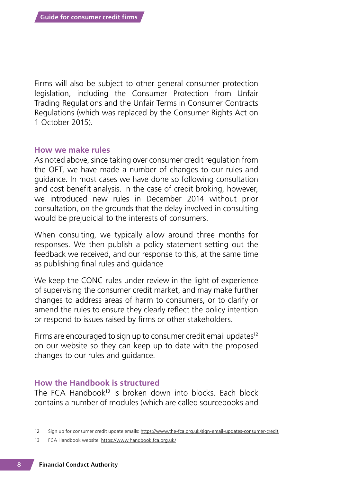Firms will also be subject to other general consumer protection legislation, including the Consumer Protection from Unfair Trading Regulations and the Unfair Terms in Consumer Contracts Regulations (which was replaced by the Consumer Rights Act on 1 October 2015).

#### **How we make rules**

As noted above, since taking over consumer credit regulation from the OFT, we have made a number of changes to our rules and guidance. In most cases we have done so following consultation and cost benefit analysis. In the case of credit broking, however, we introduced new rules in December 2014 without prior consultation, on the grounds that the delay involved in consulting would be prejudicial to the interests of consumers.

When consulting, we typically allow around three months for responses. We then publish a policy statement setting out the feedback we received, and our response to this, at the same time as publishing final rules and guidance

We keep the CONC rules under review in the light of experience of supervising the consumer credit market, and may make further changes to address areas of harm to consumers, or to clarify or amend the rules to ensure they clearly reflect the policy intention or respond to issues raised by firms or other stakeholders.

Firms are encouraged to sign up to consumer credit email updates<sup>12</sup> on our website so they can keep up to date with the proposed changes to our rules and guidance.

#### **How the Handbook is structured**

The FCA Handbook<sup>13</sup> is broken down into blocks. Fach block contains a number of modules (which are called sourcebooks and

<sup>12</sup> Sign up for consumer credit update emails: <https://www.the-fca.org.uk/sign-email-updates-consumer-credit>

<sup>13</sup> FCA Handbook website: <https://www.handbook.fca.org.uk/>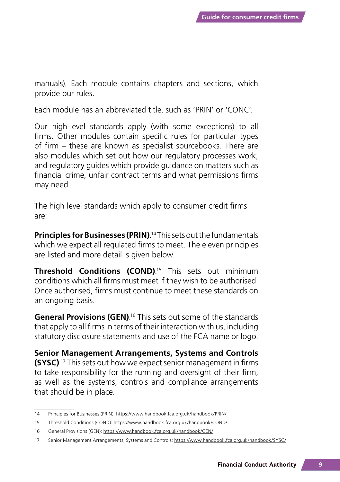manuals). Each module contains chapters and sections, which provide our rules.

Each module has an abbreviated title, such as ['PRIN](https://www.handbook.fca.org.uk/handbook/PRIN/)' or 'CONC'.

Our high-level standards apply (with some exceptions) to all firms. Other modules contain specific rules for particular types of firm – these are known as specialist sourcebooks. There are also modules which set out how our regulatory processes work, and regulatory guides which provide guidance on matters such as financial crime, unfair contract terms and what permissions firms may need.

The high level standards which apply to consumer credit firms are:

**Principles for Businesses [\(PRIN](https://www.handbook.fca.org.uk/handbook/PRIN/))**. 14 This sets out the fundamentals which we expect all regulated firms to meet. The eleven principles are listed and more detail is given below.

**Threshold Conditions ([COND](https://www.handbook.fca.org.uk/handbook/COND/))**. 15 This sets out minimum conditions which all firms must meet if they wish to be authorised. Once authorised, firms must continue to meet these standards on an ongoing basis.

**General Provisions ([GEN\)](https://www.handbook.fca.org.uk/handbook/GEN/)**. 16 This sets out some of the standards that apply to all firms in terms of their interaction with us, including statutory disclosure statements and use of the FCA name or logo.

**Senior Management Arrangements, Systems and Controls ([SYSC\)](https://www.handbook.fca.org.uk/handbook/SYSC/)**. 17 This sets out how we expect senior management in firms to take responsibility for the running and oversight of their firm, as well as the systems, controls and compliance arrangements that should be in place.

<sup>14</sup> Principles for Businesses (PRIN):<https://www.handbook.fca.org.uk/handbook/PRIN/>

<sup>15</sup> Threshold Conditions (COND):<https://www.handbook.fca.org.uk/handbook/COND/>

<sup>16</sup> General Provisions (GEN): <https://www.handbook.fca.org.uk/handbook/GEN/>

<sup>17</sup> Senior Management Arrangements, Systems and Controls:<https://www.handbook.fca.org.uk/handbook/SYSC/>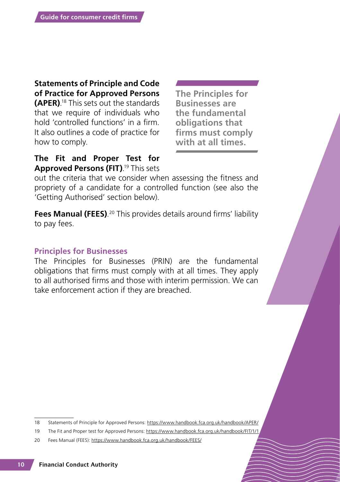**Statements of Principle and Code of Practice for Approved Persons ([APER\)](https://www.handbook.fca.org.uk/handbook/APER/)**. 18 This sets out the standards that we require of individuals who hold 'controlled functions' in a firm. It also outlines a code of practice for how to comply.

**The Principles for Businesses are the fundamental obligations that firms must comply with at all times.**

#### **The Fit and Proper Test for Approved Persons [\(FIT\)](https://www.handbook.fca.org.uk/handbook/FIT/1/1)**. 19 This sets

out the criteria that we consider when assessing the fitness and propriety of a candidate for a controlled function (see also the 'Getting Authorised' section below).

**Fees Manual [\(FEES\)](https://www.handbook.fca.org.uk/handbook/FEES/)**. 20 This provides details around firms' liability to pay fees.

#### **Principles for Businesses**

The Principles for Businesses (PRIN) are the fundamental obligations that firms must comply with at all times. They apply to all authorised firms and those with interim permission. We can take enforcement action if they are breached.

<sup>18</sup> Statements of Principle for Approved Persons: <https://www.handbook.fca.org.uk/handbook/APER/>

<sup>19</sup> The Fit and Proper test for Approved Persons:<https://www.handbook.fca.org.uk/handbook/FIT/1/1>

<sup>20</sup> Fees Manual (FEES): <https://www.handbook.fca.org.uk/handbook/FEES/>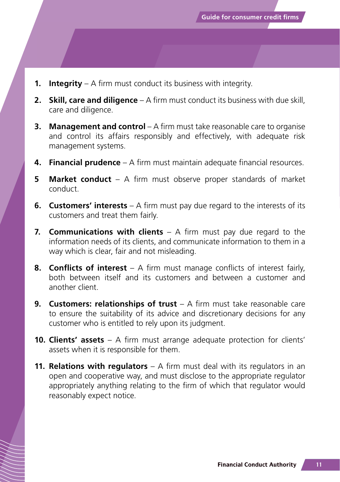- **1. Integrity** A firm must conduct its business with integrity.
- **2. Skill, care and diligence** A firm must conduct its business with due skill, care and diligence.
- **3. Management and control** A firm must take reasonable care to organise and control its affairs responsibly and effectively, with adequate risk management systems.
- **4. Financial prudence** A firm must maintain adequate financial resources.
- **5 Market conduct** A firm must observe proper standards of market conduct.
- **6. Customers' interests** A firm must pay due regard to the interests of its customers and treat them fairly.
- **7. Communications with clients** A firm must pay due regard to the information needs of its clients, and communicate information to them in a way which is clear, fair and not misleading.
- **8. Conflicts of interest** A firm must manage conflicts of interest fairly, both between itself and its customers and between a customer and another client.
- **9. Customers: relationships of trust** A firm must take reasonable care to ensure the suitability of its advice and discretionary decisions for any customer who is entitled to rely upon its judgment.
- **10. Clients' assets** A firm must arrange adequate protection for clients' assets when it is responsible for them.
- **11. Relations with regulators** A firm must deal with its regulators in an open and cooperative way, and must disclose to the appropriate regulator appropriately anything relating to the firm of which that regulator would reasonably expect notice.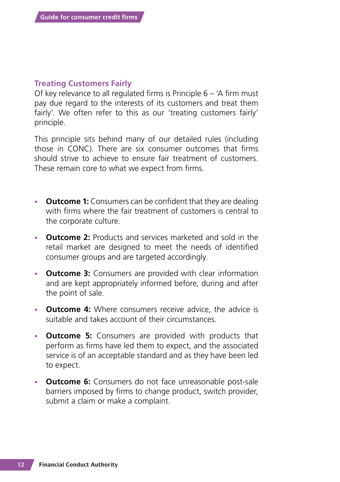#### **Treating Customers Fairly**

Of key relevance to all regulated firms is Principle  $6 - 'A$  firm must pay due regard to the interests of its customers and treat them fairly'. We often refer to this as our 'treating customers fairly' principle.

This principle sits behind many of our detailed rules (including those in CONC). There are six consumer outcomes that firms should strive to achieve to ensure fair treatment of customers. These remain core to what we expect from firms.

- **• Outcome 1:** Consumers can be confident that they are dealing with firms where the fair treatment of customers is central to the corporate culture.
- **• Outcome 2:** Products and services marketed and sold in the retail market are designed to meet the needs of identified consumer groups and are targeted accordingly.
- **• Outcome 3:** Consumers are provided with clear information and are kept appropriately informed before, during and after the point of sale.
- **• Outcome 4:** Where consumers receive advice, the advice is suitable and takes account of their circumstances.
- **• Outcome 5:** Consumers are provided with products that perform as firms have led them to expect, and the associated service is of an acceptable standard and as they have been led to expect.
- **• Outcome 6:** Consumers do not face unreasonable post-sale barriers imposed by firms to change product, switch provider, submit a claim or make a complaint.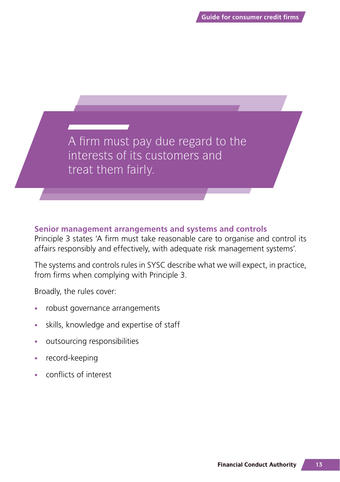A firm must pay due regard to the interests of its customers and treat them fairly.

#### **Senior management arrangements and systems and controls**

Principle 3 states 'A firm must take reasonable care to organise and control its affairs responsibly and effectively, with adequate risk management systems'.

The systems and controls rules in SYSC describe what we will expect, in practice, from firms when complying with Principle 3.

Broadly, the rules cover:

- **•** robust governance arrangements
- **•** skills, knowledge and expertise of staff
- **•** outsourcing responsibilities
- **•** record-keeping
- **•** conflicts of interest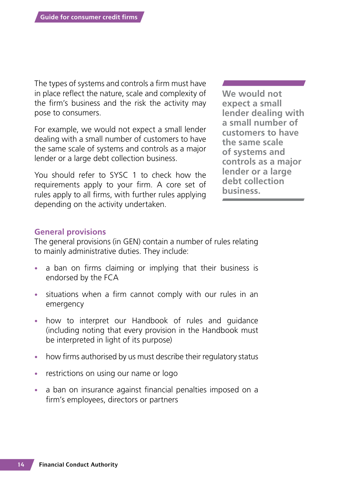The types of systems and controls a firm must have in place reflect the nature, scale and complexity of the firm's business and the risk the activity may pose to consumers.

For example, we would not expect a small lender dealing with a small number of customers to have the same scale of systems and controls as a major lender or a large debt collection business.

You should refer to SYSC 1 to check how the requirements apply to your firm. A core set of rules apply to all firms, with further rules applying depending on the activity undertaken.

**We would not expect a small lender dealing with a small number of customers to have the same scale of systems and controls as a major lender or a large debt collection business.**

#### **General provisions**

The general provisions (in GEN) contain a number of rules relating to mainly administrative duties. They include:

- **•** a ban on firms claiming or implying that their business is endorsed by the FCA
- **•** situations when a firm cannot comply with our rules in an emergency
- **•** how to interpret our Handbook of rules and guidance (including noting that every provision in the Handbook must be interpreted in light of its purpose)
- **•** how firms authorised by us must describe their regulatory status
- restrictions on using our name or logo
- **•** a ban on insurance against financial penalties imposed on a firm's employees, directors or partners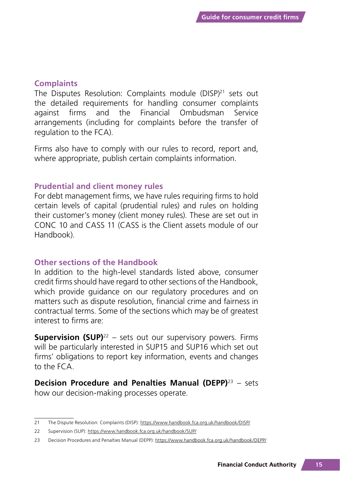#### **Complaints**

The Disputes Resolution: Complaints module ([DISP\)](https://www.handbook.fca.org.uk/handbook/DISP/)<sup>21</sup> sets out the detailed requirements for handling consumer complaints against firms and the Financial Ombudsman Service arrangements (including for complaints before the transfer of regulation to the FCA).

Firms also have to comply with our rules to record, report and, where appropriate, publish certain complaints information.

#### **Prudential and client money rules**

For debt management firms, we have rules requiring firms to hold certain levels of capital (prudential rules) and rules on holding their customer's money (client money rules). These are set out in CONC 10 and CASS 11 (CASS is the Client assets module of our Handbook).

#### **Other sections of the Handbook**

In addition to the high-level standards listed above, consumer credit firms should have regard to other sections of the Handbook, which provide guidance on our regulatory procedures and on matters such as dispute resolution, financial crime and fairness in contractual terms. Some of the sections which may be of greatest interest to firms are:

**Supervision [\(SUP](https://www.handbook.fca.org.uk/handbook/SUP/))**<sup>22</sup> – sets out our supervisory powers. Firms will be particularly interested in SUP15 and SUP16 which set out firms' obligations to report key information, events and changes to the FCA.

**Decision Procedure and Penalties Manual ([DEPP\)](https://www.handbook.fca.org.uk/handbook/DEPP/)**23 – sets how our decision-making processes operate.

<sup>21</sup> The Dispute Resolution: Complaints (DISP):<https://www.handbook.fca.org.uk/handbook/DISP/>

<sup>22</sup> Supervision (SUP): <https://www.handbook.fca.org.uk/handbook/SUP/>

<sup>23</sup> Decision Procedures and Penalties Manual (DEPP): <https://www.handbook.fca.org.uk/handbook/DEPP/>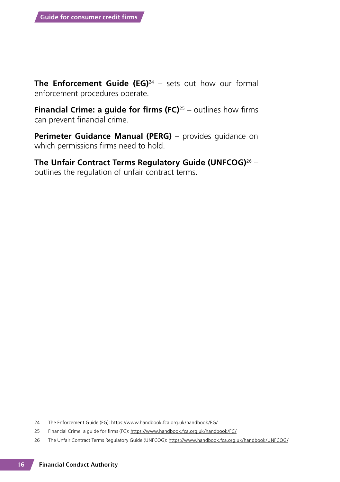**The Enforcement Guide ([EG](https://www.handbook.fca.org.uk/handbook/EG/))**24 – sets out how our formal enforcement procedures operate.

**Financial Crime: a guide for firms ([FC](https://www.handbook.fca.org.uk/handbook/FC/))**25 – outlines how firms can prevent financial crime.

**Perimeter Guidance Manual (PERG)** – provides guidance on which permissions firms need to hold.

**The Unfair Contract Terms Regulatory Guide ([UNFCOG\)](https://www.handbook.fca.org.uk/handbook/UNFCOG/)**26 – outlines the regulation of unfair contract terms.

<sup>24</sup> The Enforcement Guide (EG):<https://www.handbook.fca.org.uk/handbook/EG/>

<sup>25</sup> Financial Crime: a guide for firms (FC):<https://www.handbook.fca.org.uk/handbook/FC/>

<sup>26</sup> The Unfair Contract Terms Regulatory Guide (UNFCOG):<https://www.handbook.fca.org.uk/handbook/UNFCOG/>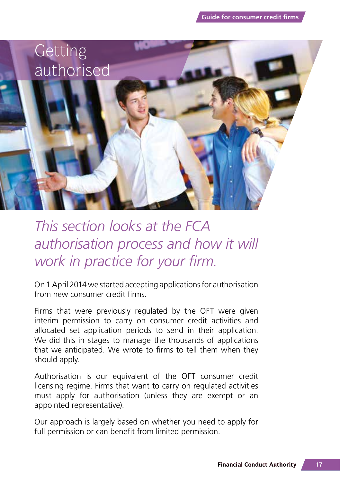<span id="page-16-0"></span>

## *This section looks at the FCA authorisation process and how it will work in practice for your firm.*

On 1 April 2014 we started accepting applications for authorisation from new consumer credit firms.

Firms that were previously regulated by the OFT were given interim permission to carry on consumer credit activities and allocated set application periods to send in their application. We did this in stages to manage the thousands of applications that we anticipated. We wrote to firms to tell them when they should apply.

Authorisation is our equivalent of the OFT consumer credit licensing regime. Firms that want to carry on regulated activities must apply for authorisation (unless they are exempt or an appointed representative).

Our approach is largely based on whether you need to apply for full permission or can benefit from limited permission.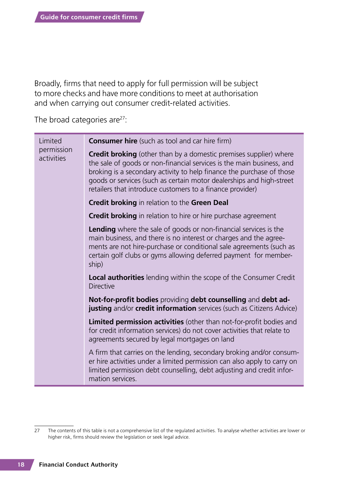Broadly, firms that need to apply for full permission will be subject to more checks and have more conditions to meet at authorisation and when carrying out consumer credit-related activities.

The broad categories are<sup>27</sup>:

| Limited<br>permission<br>activities | <b>Consumer hire</b> (such as tool and car hire firm)                                                                                                                                                                                                                                                                                                           |
|-------------------------------------|-----------------------------------------------------------------------------------------------------------------------------------------------------------------------------------------------------------------------------------------------------------------------------------------------------------------------------------------------------------------|
|                                     | <b>Credit broking</b> (other than by a domestic premises supplier) where<br>the sale of goods or non-financial services is the main business, and<br>broking is a secondary activity to help finance the purchase of those<br>goods or services (such as certain motor dealerships and high-street<br>retailers that introduce customers to a finance provider) |
|                                     | <b>Credit broking</b> in relation to the Green Deal                                                                                                                                                                                                                                                                                                             |
|                                     | <b>Credit broking</b> in relation to hire or hire purchase agreement                                                                                                                                                                                                                                                                                            |
|                                     | Lending where the sale of goods or non-financial services is the<br>main business, and there is no interest or charges and the agree-<br>ments are not hire-purchase or conditional sale agreements (such as<br>certain golf clubs or gyms allowing deferred payment for member-<br>ship)                                                                       |
|                                     | Local authorities lending within the scope of the Consumer Credit<br><b>Directive</b>                                                                                                                                                                                                                                                                           |
|                                     | Not-for-profit bodies providing debt counselling and debt ad-<br>justing and/or credit information services (such as Citizens Advice)                                                                                                                                                                                                                           |
|                                     | <b>Limited permission activities</b> (other than not-for-profit bodies and<br>for credit information services) do not cover activities that relate to<br>agreements secured by legal mortgages on land                                                                                                                                                          |
|                                     | A firm that carries on the lending, secondary broking and/or consum-<br>er hire activities under a limited permission can also apply to carry on<br>limited permission debt counselling, debt adjusting and credit infor-<br>mation services.                                                                                                                   |

<sup>27</sup> The contents of this table is not a comprehensive list of the regulated activities. To analyse whether activities are lower or higher risk, firms should review the legislation or seek legal advice.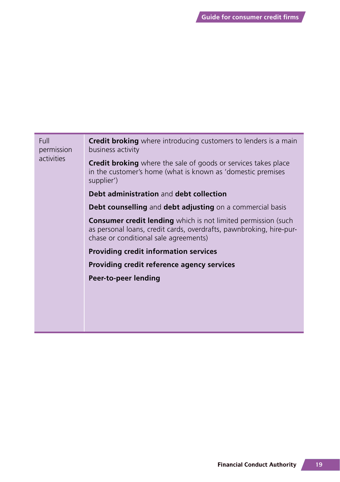| Full<br>permission<br>activities | <b>Credit broking</b> where introducing customers to lenders is a main<br>business activity                                                                                          |  |
|----------------------------------|--------------------------------------------------------------------------------------------------------------------------------------------------------------------------------------|--|
|                                  | <b>Credit broking</b> where the sale of goods or services takes place<br>in the customer's home (what is known as 'domestic premises<br>supplier')                                   |  |
|                                  | Debt administration and debt collection                                                                                                                                              |  |
|                                  | <b>Debt counselling</b> and <b>debt adjusting</b> on a commercial basis                                                                                                              |  |
|                                  | <b>Consumer credit lending</b> which is not limited permission (such<br>as personal loans, credit cards, overdrafts, pawnbroking, hire-pur-<br>chase or conditional sale agreements) |  |
|                                  | <b>Providing credit information services</b>                                                                                                                                         |  |
|                                  | Providing credit reference agency services                                                                                                                                           |  |
|                                  | Peer-to-peer lending                                                                                                                                                                 |  |
|                                  |                                                                                                                                                                                      |  |
|                                  |                                                                                                                                                                                      |  |
|                                  |                                                                                                                                                                                      |  |
|                                  |                                                                                                                                                                                      |  |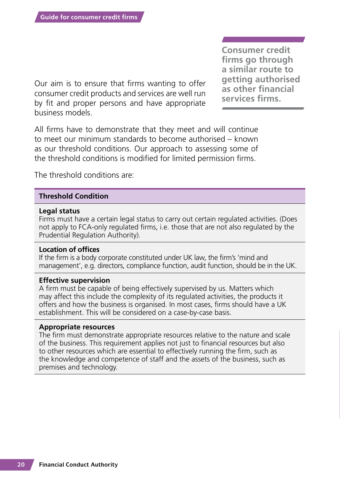Our aim is to ensure that firms wanting to offer consumer credit products and services are well run by fit and proper persons and have appropriate business models.

**Consumer credit firms go through a similar route to getting authorised as other financial services firms.**

All firms have to demonstrate that they meet and will continue to meet our minimum standards to become authorised – known as our threshold conditions. Our approach to assessing some of the threshold conditions is modified for limited permission firms.

The threshold conditions are:

#### **Threshold Condition**

#### **Legal status**

Firms must have a certain legal status to carry out certain regulated activities. (Does not apply to FCA-only regulated firms, i.e. those that are not also regulated by the Prudential Regulation Authority).

#### **Location of offices**

If the firm is a body corporate constituted under UK law, the firm's 'mind and management', e.g. directors, compliance function, audit function, should be in the UK.

#### **Effective supervision**

A firm must be capable of being effectively supervised by us. Matters which may affect this include the complexity of its regulated activities, the products it offers and how the business is organised. In most cases, firms should have a UK establishment. This will be considered on a case-by-case basis.

#### **Appropriate resources**

The firm must demonstrate appropriate resources relative to the nature and scale of the business. This requirement applies not just to financial resources but also to other resources which are essential to effectively running the firm, such as the knowledge and competence of staff and the assets of the business, such as premises and technology.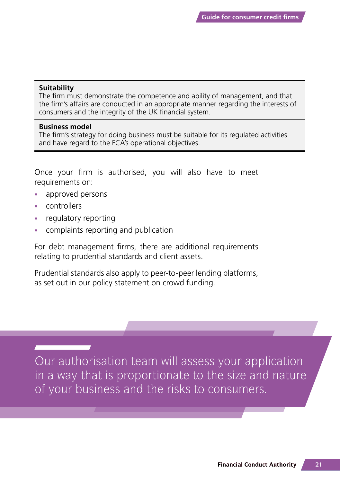#### **Suitability**

The firm must demonstrate the competence and ability of management, and that the firm's affairs are conducted in an appropriate manner regarding the interests of consumers and the integrity of the UK financial system.

#### **Business model**

The firm's strategy for doing business must be suitable for its regulated activities and have regard to the FCA's operational objectives.

Once your firm is authorised, you will also have to meet requirements on:

- **•** approved persons
- **•** controllers
- **•** regulatory reporting
- **•** complaints reporting and publication

For debt management firms, there are additional requirements relating to prudential standards and client assets.

Prudential standards also apply to peer-to-peer lending platforms, as set out in our policy statement on crowd funding.

Our authorisation team will assess your application in a way that is proportionate to the size and nature of your business and the risks to consumers.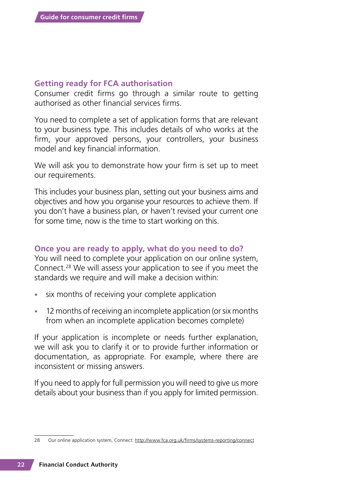#### **Getting ready for FCA authorisation**

Consumer credit firms go through a similar route to getting authorised as other financial services firms.

You need to complete a set of application forms that are relevant to your business type. This includes details of who works at the firm, your approved persons, your controllers, your business model and key financial information.

We will ask you to demonstrate how your firm is set up to meet our requirements.

This includes your business plan, setting out your business aims and objectives and how you organise your resources to achieve them. If you don't have a business plan, or haven't revised your current one for some time, now is the time to start working on this.

#### **Once you are ready to apply, what do you need to do?**

You will need to complete your application on our online system, [Connect](http://www.fca.org.uk/firms/systems-reporting/connect).28 We will assess your application to see if you meet the standards we require and will make a decision within:

- **•** six months of receiving your complete application
- **•** 12 months of receiving an incomplete application (or six months from when an incomplete application becomes complete)

If your application is incomplete or needs further explanation, we will ask you to clarify it or to provide further information or documentation, as appropriate. For example, where there are inconsistent or missing answers.

If you need to apply for full permission you will need to give us more details about your business than if you apply for limited permission.

<sup>28</sup> Our online application system, Connect: <http://www.fca.org.uk/firms/systems-reporting/connect>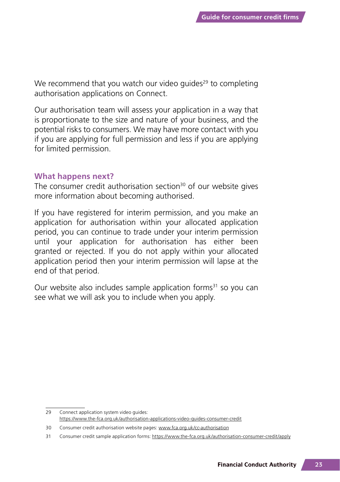We recommend that you watch our video guides<sup>29</sup> to completing authorisation applications on Connect.

Our authorisation team will assess your application in a way that is proportionate to the size and nature of your business, and the potential risks to consumers. We may have more contact with you if you are applying for full permission and less if you are applying for limited permission.

#### **What happens next?**

The consumer credit authorisation section<sup>30</sup> of our website gives more information about becoming authorised.

If you have registered for interim permission, and you make an application for authorisation within your allocated application period, you can continue to trade under your interim permission until your application for authorisation has either been granted or rejected. If you do not apply within your allocated application period then your interim permission will lapse at the end of that period.

Our website also includes sample application forms $31$  so you can see what we will ask you to include when you apply.

<sup>29</sup> Connect application system video guides: <https://www.the-fca.org.uk/authorisation-applications-video-guides-consumer-credit>

<sup>30</sup> Consumer credit authorisation website pages: [www.fca.org.uk/cc-authorisation](http://www.fca.org.uk/cc-authorisation)

<sup>31</sup> Consumer credit sample application forms: <https://www.the-fca.org.uk/authorisation-consumer-credit/apply>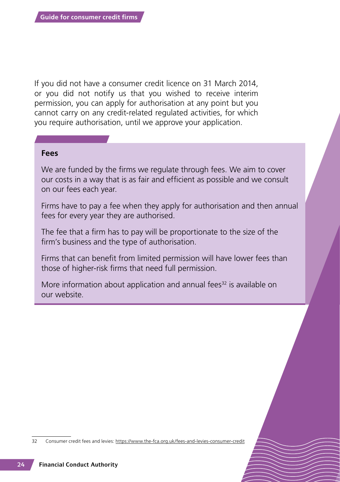If you did not have a consumer credit licence on 31 March 2014, or you did not notify us that you wished to receive interim permission, you can apply for authorisation at any point but you cannot carry on any credit-related regulated activities, for which you require authorisation, until we approve your application.

#### **Fees**

We are funded by the firms we regulate through fees. We aim to cover our costs in a way that is as fair and efficient as possible and we consult on our fees each year.

Firms have to pay a fee when they apply for authorisation and then annual fees for every year they are authorised.

The fee that a firm has to pay will be proportionate to the size of the firm's business and the type of authorisation.

Firms that can benefit from limited permission will have lower fees than those of higher-risk firms that need full permission.

More information about application and annual fees<sup>32</sup> is available on our website.

<sup>32</sup> Consumer credit fees and levies: https://www.the-fca.org.uk/fees-and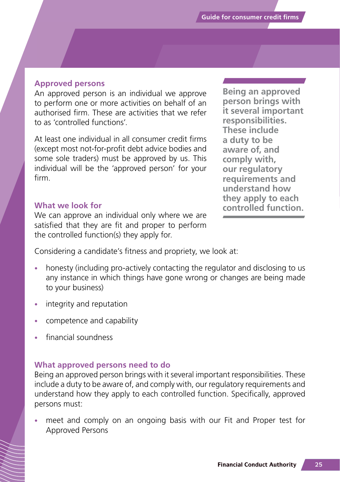#### **Approved persons**

An approved person is an individual we approve to perform one or more activities on behalf of an authorised firm. These are activities that we refer to as 'controlled functions'.

At least one individual in all consumer credit firms (except most not-for-profit debt advice bodies and some sole traders) must be approved by us. This individual will be the 'approved person' for your firm.

#### **What we look for**

We can approve an individual only where we are satisfied that they are fit and proper to perform the controlled function(s) they apply for.

**Being an approved person brings with it several important responsibilities. These include a duty to be aware of, and comply with, our regulatory requirements and understand how they apply to each controlled function.**

Considering a candidate's fitness and propriety, we look at:

- **•** honesty (including pro-actively contacting the regulator and disclosing to us any instance in which things have gone wrong or changes are being made to your business)
- **•** integrity and reputation
- **•** competence and capability
- **•** financial soundness

#### **What approved persons need to do**

Being an approved person brings with it several important responsibilities. These include a duty to be aware of, and comply with, our regulatory requirements and understand how they apply to each controlled function. Specifically, approved persons must:

**•** meet and comply on an ongoing basis with our Fit and Proper test for Approved Persons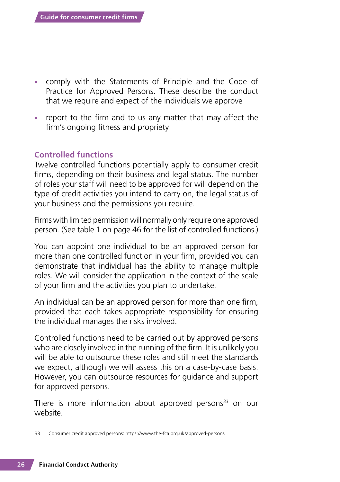- **•** comply with the Statements of Principle and the Code of Practice for Approved Persons. These describe the conduct that we require and expect of the individuals we approve
- **•** report to the firm and to us any matter that may affect the firm's ongoing fitness and propriety

#### **Controlled functions**

Twelve controlled functions potentially apply to consumer credit firms, depending on their business and legal status. The number of roles your staff will need to be approved for will depend on the type of credit activities you intend to carry on, the legal status of your business and the permissions you require.

Firms with limited permission will normally only require one approved person. (See table 1 on page 46 for the list of controlled functions.)

You can appoint one individual to be an approved person for more than one controlled function in your firm, provided you can demonstrate that individual has the ability to manage multiple roles. We will consider the application in the context of the scale of your firm and the activities you plan to undertake.

An individual can be an approved person for more than one firm, provided that each takes appropriate responsibility for ensuring the individual manages the risks involved.

Controlled functions need to be carried out by approved persons who are closely involved in the running of the firm. It is unlikely you will be able to outsource these roles and still meet the standards we expect, although we will assess this on a case-by-case basis. However, you can outsource resources for guidance and support for approved persons.

There is more information about approved persons $33$  on our website.

<sup>33</sup> Consumer credit approved persons:<https://www.the-fca.org.uk/approved-persons>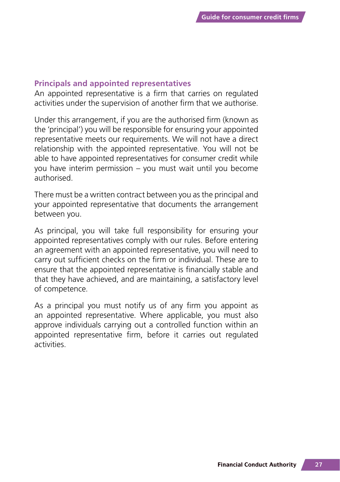#### **Principals and appointed representatives**

An appointed representative is a firm that carries on regulated activities under the supervision of another firm that we authorise.

Under this arrangement, if you are the authorised firm (known as the 'principal') you will be responsible for ensuring your appointed representative meets our requirements. We will not have a direct relationship with the appointed representative. You will not be able to have appointed representatives for consumer credit while you have interim permission – you must wait until you become authorised.

There must be a written contract between you as the principal and your appointed representative that documents the arrangement between you.

As principal, you will take full responsibility for ensuring your appointed representatives comply with our rules. Before entering an agreement with an appointed representative, you will need to carry out sufficient checks on the firm or individual. These are to ensure that the appointed representative is financially stable and that they have achieved, and are maintaining, a satisfactory level of competence.

As a principal you must notify us of any firm you appoint as an appointed representative. Where applicable, you must also approve individuals carrying out a controlled function within an appointed representative firm, before it carries out regulated activities.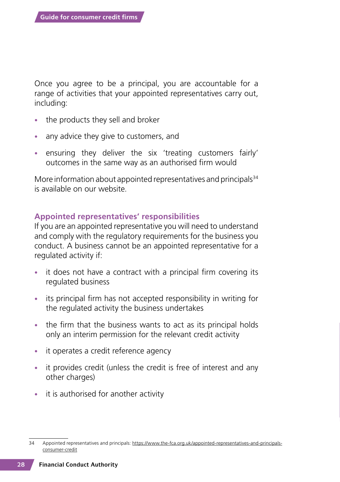Once you agree to be a principal, you are accountable for a range of activities that your appointed representatives carry out, including:

- **•** the products they sell and broker
- **•** any advice they give to customers, and
- **•** ensuring they deliver the six 'treating customers fairly' outcomes in the same way as an authorised firm would

More information about [appointed representatives and principals](https://www.the-fca.org.uk/appointed-representatives-and-principals-consumer-credit)<sup>34</sup> is available on our website.

#### **Appointed representatives' responsibilities**

If you are an appointed representative you will need to understand and comply with the regulatory requirements for the business you conduct. A business cannot be an appointed representative for a regulated activity if:

- **•** it does not have a contract with a principal firm covering its regulated business
- **•** its principal firm has not accepted responsibility in writing for the regulated activity the business undertakes
- **•** the firm that the business wants to act as its principal holds only an interim permission for the relevant credit activity
- **•** it operates a credit reference agency
- **•** it provides credit (unless the credit is free of interest and any other charges)
- **•** it is authorised for another activity

<sup>34</sup> Appointed representatives and principals: [https://www.the-fca.org.uk/appointed-representatives-and-principals](https://www.the-fca.org.uk/appointed-representatives-and-principals-consumer-credit)[consumer-credit](https://www.the-fca.org.uk/appointed-representatives-and-principals-consumer-credit)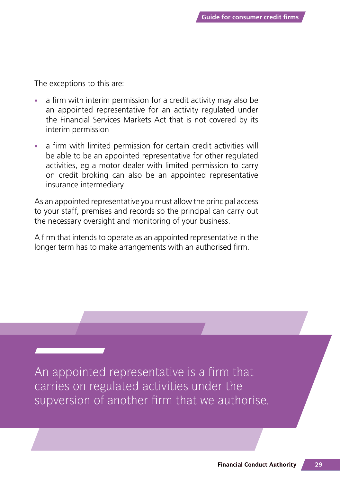The exceptions to this are:

- **•** a firm with interim permission for a credit activity may also be an appointed representative for an activity regulated under the Financial Services Markets Act that is not covered by its interim permission
- **•** a firm with limited permission for certain credit activities will be able to be an appointed representative for other regulated activities, eg a motor dealer with limited permission to carry on credit broking can also be an appointed representative insurance intermediary

As an appointed representative you must allow the principal access to your staff, premises and records so the principal can carry out the necessary oversight and monitoring of your business.

A firm that intends to operate as an appointed representative in the longer term has to make arrangements with an authorised firm.

An appointed representative is a firm that carries on regulated activities under the supversion of another firm that we authorise.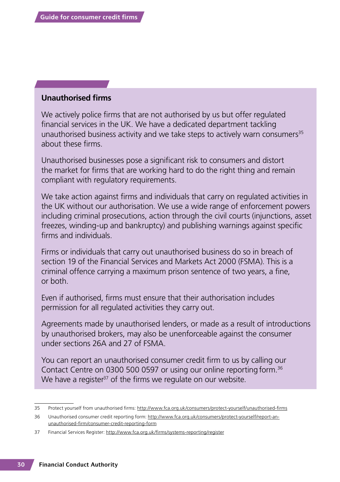#### **Unauthorised firms**

We actively police firms that are not authorised by us but offer regulated financial services in the UK. We have a dedicated department tackling unauthorised business activity and we take steps to actively [warn consumers](http://www.fca.org.uk/consumers/protect-yourself/unauthorised-firms)<sup>35</sup> about these firms.

Unauthorised businesses pose a significant risk to consumers and distort the market for firms that are working hard to do the right thing and remain compliant with regulatory requirements.

We take action against firms and individuals that carry on regulated activities in the UK without our authorisation. We use a wide range of enforcement powers including criminal prosecutions, action through the civil courts (injunctions, asset freezes, winding-up and bankruptcy) and publishing warnings against specific firms and individuals.

Firms or individuals that carry out unauthorised business do so in breach of section 19 of the Financial Services and Markets Act 2000 (FSMA). This is a criminal offence carrying a maximum prison sentence of two years, a fine, or both.

Even if authorised, firms must ensure that their authorisation includes permission for all regulated activities they carry out.

Agreements made by unauthorised lenders, or made as a result of introductions by unauthorised brokers, may also be unenforceable against the consumer under sections 26A and 27 of FSMA.

You can report an unauthorised consumer credit firm to us by calling our Contact Centre on 0300 500 0597 or using our [online reporting](http://www.fca.org.uk/consumers/protect-yourself/report-an-unauthorised-firm/consumer-credit-reporting-form) form.36 We have a register<sup>37</sup> of the firms we regulate on our website.

<sup>35</sup> Protect yourself from unauthorised firms:<http://www.fca.org.uk/consumers/protect-yourself/unauthorised-firms>

<sup>36</sup> Unauthorised consumer credit reporting form: [http://www.fca.org.uk/consumers/protect-yourself/report-an](http://www.fca.org.uk/consumers/protect-yourself/report-an-unauthorised-firm/consumer-credit-reporting-form)[unauthorised-firm/consumer-credit-reporting-form](http://www.fca.org.uk/consumers/protect-yourself/report-an-unauthorised-firm/consumer-credit-reporting-form)

<sup>37</sup> Financial Services Register: <http://www.fca.org.uk/firms/systems-reporting/register>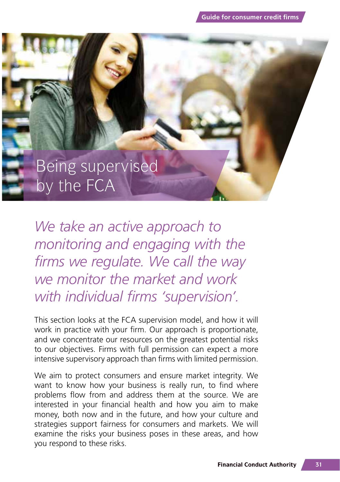<span id="page-30-0"></span>Being supervised by the FCA

*We take an active approach to monitoring and engaging with the firms we regulate. We call the way we monitor the market and work with individual firms 'supervision'.*

This section looks at the FCA supervision model, and how it will work in practice with your firm. Our approach is proportionate, and we concentrate our resources on the greatest potential risks to our objectives. Firms with full permission can expect a more intensive supervisory approach than firms with limited permission.

We aim to protect consumers and ensure market integrity. We want to know how your business is really run, to find where problems flow from and address them at the source. We are interested in your financial health and how you aim to make money, both now and in the future, and how your culture and strategies support fairness for consumers and markets. We will examine the risks your business poses in these areas, and how you respond to these risks.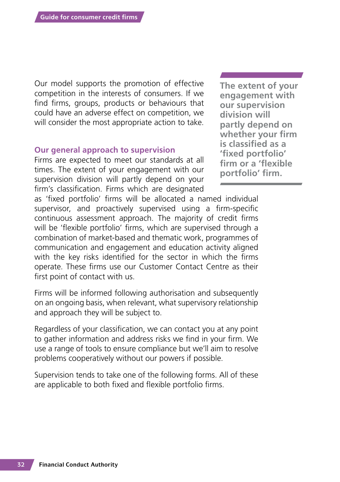Our model supports the promotion of effective competition in the interests of consumers. If we find firms, groups, products or behaviours that could have an adverse effect on competition, we will consider the most appropriate action to take.

#### **Our general approach to supervision**

Firms are expected to meet our standards at all times. The extent of your engagement with our supervision division will partly depend on your firm's classification. Firms which are designated

as 'fixed portfolio' firms will be allocated a named individual supervisor, and proactively supervised using a firm-specific continuous assessment approach. The majority of credit firms will be 'flexible portfolio' firms, which are supervised through a combination of market-based and thematic work, programmes of communication and engagement and education activity aligned with the key risks identified for the sector in which the firms operate. These firms use our Customer Contact Centre as their first point of contact with us.

Firms will be informed following authorisation and subsequently on an ongoing basis, when relevant, what supervisory relationship and approach they will be subject to.

Regardless of your classification, we can contact you at any point to gather information and address risks we find in your firm. We use a range of tools to ensure compliance but we'll aim to resolve problems cooperatively without our powers if possible.

Supervision tends to take one of the following forms. All of these are applicable to both fixed and flexible portfolio firms.

**The extent of your engagement with our supervision division will partly depend on whether your firm is classified as a 'fixed portfolio' firm or a 'flexible portfolio' firm.**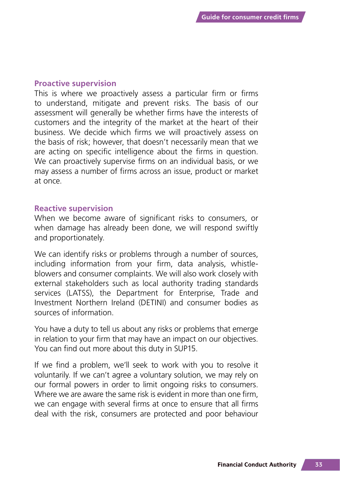#### **Proactive supervision**

This is where we proactively assess a particular firm or firms to understand, mitigate and prevent risks. The basis of our assessment will generally be whether firms have the interests of customers and the integrity of the market at the heart of their business. We decide which firms we will proactively assess on the basis of risk; however, that doesn't necessarily mean that we are acting on specific intelligence about the firms in question. We can proactively supervise firms on an individual basis, or we may assess a number of firms across an issue, product or market at once.

#### **Reactive supervision**

When we become aware of significant risks to consumers, or when damage has already been done, we will respond swiftly and proportionately.

We can identify risks or problems through a number of sources. including information from your firm, data analysis, whistleblowers and consumer complaints. We will also work closely with external stakeholders such as local authority trading standards services (LATSS), the Department for Enterprise, Trade and Investment Northern Ireland (DETINI) and consumer bodies as sources of information.

You have a duty to tell us about any risks or problems that emerge in relation to your firm that may have an impact on our objectives. You can find out more about this duty in SUP15.

If we find a problem, we'll seek to work with you to resolve it voluntarily. If we can't agree a voluntary solution, we may rely on our formal powers in order to limit ongoing risks to consumers. Where we are aware the same risk is evident in more than one firm, we can engage with several firms at once to ensure that all firms deal with the risk, consumers are protected and poor behaviour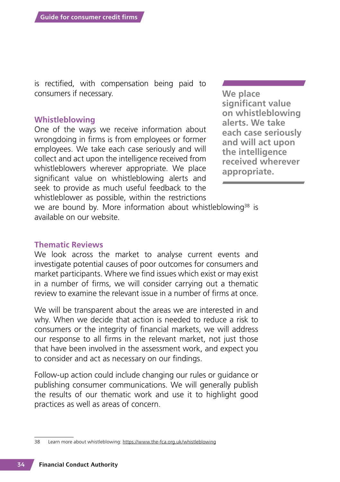is rectified, with compensation being paid to consumers if necessary.

#### **Whistleblowing**

One of the ways we receive information about wrongdoing in firms is from employees or former employees. We take each case seriously and will collect and act upon the intelligence received from whistleblowers wherever appropriate. We place significant value on whistleblowing alerts and seek to provide as much useful feedback to the whistleblower as possible, within the restrictions

**We place significant value on whistleblowing alerts. We take each case seriously and will act upon the intelligence received wherever appropriate.**

we are bound by. More information about whistleblowing<sup>38</sup> is available on our website.

#### **Thematic Reviews**

We look across the market to analyse current events and investigate potential causes of poor outcomes for consumers and market participants. Where we find issues which exist or may exist in a number of firms, we will consider carrying out a thematic review to examine the relevant issue in a number of firms at once.

We will be transparent about the areas we are interested in and why. When we decide that action is needed to reduce a risk to consumers or the integrity of financial markets, we will address our response to all firms in the relevant market, not just those that have been involved in the assessment work, and expect you to consider and act as necessary on our findings.

Follow-up action could include changing our rules or guidance or publishing consumer communications. We will generally publish the results of our thematic work and use it to highlight good practices as well as areas of concern.

<sup>38</sup> Learn more about whistleblowing: <https://www.the-fca.org.uk/whistleblowing>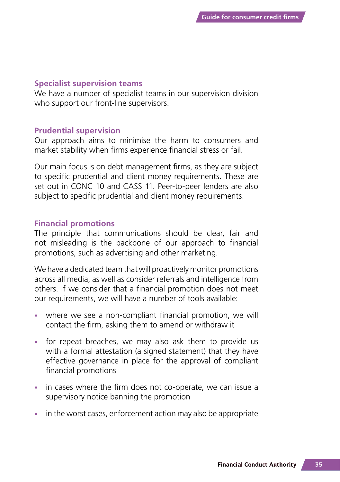#### **Specialist supervision teams**

We have a number of specialist teams in our supervision division who support our front-line supervisors.

#### **Prudential supervision**

Our approach aims to minimise the harm to consumers and market stability when firms experience financial stress or fail.

Our main focus is on debt management firms, as they are subject to specific prudential and client money requirements. These are set out in CONC 10 and CASS 11. Peer-to-peer lenders are also subject to specific prudential and client money requirements.

#### **Financial promotions**

The principle that communications should be clear, fair and not misleading is the backbone of our approach to financial promotions, such as advertising and other marketing.

We have a dedicated team that will proactively monitor promotions across all media, as well as consider referrals and intelligence from others. If we consider that a financial promotion does not meet our requirements, we will have a number of tools available:

- **•** where we see a non-compliant financial promotion, we will contact the firm, asking them to amend or withdraw it
- **•** for repeat breaches, we may also ask them to provide us with a formal attestation (a signed statement) that they have effective governance in place for the approval of compliant financial promotions
- **•** in cases where the firm does not co-operate, we can issue a supervisory notice banning the promotion
- **•** in the worst cases, enforcement action may also be appropriate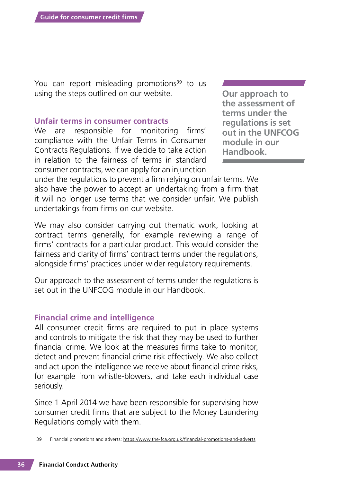You can report [misleading promotions](https://www.the-fca.org.uk/financial-promotions-and-adverts)<sup>39</sup> to us using the steps outlined on our website.

#### **Unfair terms in consumer contracts**

We are responsible for monitoring firms' compliance with the Unfair Terms in Consumer Contracts Regulations. If we decide to take action in relation to the fairness of terms in standard consumer contracts, we can apply for an injunction

**Our approach to the assessment of terms under the regulations is set out in the UNFCOG module in our Handbook.**

under the regulations to prevent a firm relying on unfair terms. We also have the power to accept an undertaking from a firm that it will no longer use terms that we consider unfair. We publish undertakings from firms on our website.

We may also consider carrying out thematic work, looking at contract terms generally, for example reviewing a range of firms' contracts for a particular product. This would consider the fairness and clarity of firms' contract terms under the regulations, alongside firms' practices under wider regulatory requirements.

Our approach to the assessment of terms under the regulations is set out in the [UNFCOG](https://www.handbook.fca.org.uk/handbook/UNFCOG/) module in our Handbook.

#### **Financial crime and intelligence**

All consumer credit firms are required to put in place systems and controls to mitigate the risk that they may be used to further financial crime. We look at the measures firms take to monitor, detect and prevent financial crime risk effectively. We also collect and act upon the intelligence we receive about financial crime risks, for example from whistle-blowers, and take each individual case seriously.

Since 1 April 2014 we have been responsible for supervising how consumer credit firms that are subject to the Money Laundering Regulations comply with them.

<sup>39</sup> Financial promotions and adverts:<https://www.the-fca.org.uk/financial-promotions-and-adverts>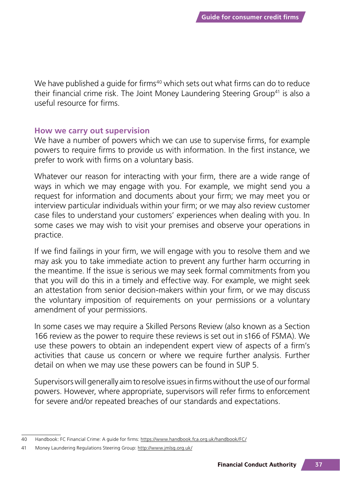We have published a quide for firms<sup>40</sup> which sets out what firms can do to reduce their financial crime risk. [The Joint Money Laundering Steering Group4](http://www.jmlsg.org.uk/)1 is also a useful resource for firms.

#### **How we carry out supervision**

We have a number of powers which we can use to supervise firms, for example powers to require firms to provide us with information. In the first instance, we prefer to work with firms on a voluntary basis.

Whatever our reason for interacting with your firm, there are a wide range of ways in which we may engage with you. For example, we might send you a request for information and documents about your firm; we may meet you or interview particular individuals within your firm; or we may also review customer case files to understand your customers' experiences when dealing with you. In some cases we may wish to visit your premises and observe your operations in practice.

If we find failings in your firm, we will engage with you to resolve them and we may ask you to take immediate action to prevent any further harm occurring in the meantime. If the issue is serious we may seek formal commitments from you that you will do this in a timely and effective way. For example, we might seek an attestation from senior decision-makers within your firm, or we may discuss the voluntary imposition of requirements on your permissions or a voluntary amendment of your permissions.

In some cases we may require a Skilled Persons Review (also known as a Section 166 review as the power to require these reviews is set out in s166 of FSMA). We use these powers to obtain an independent expert view of aspects of a firm's activities that cause us concern or where we require further analysis. Further detail on when we may use these powers can be found in SUP 5.

Supervisors will generally aim to resolve issues in firms without the use of our formal powers. However, where appropriate, supervisors will refer firms to enforcement for severe and/or repeated breaches of our standards and expectations.

<sup>40</sup> Handbook: FC Financial Crime: A guide for firms: <https://www.handbook.fca.org.uk/handbook/FC/>

<sup>41</sup> Money Laundering Regulations Steering Group:<http://www.jmlsg.org.uk/>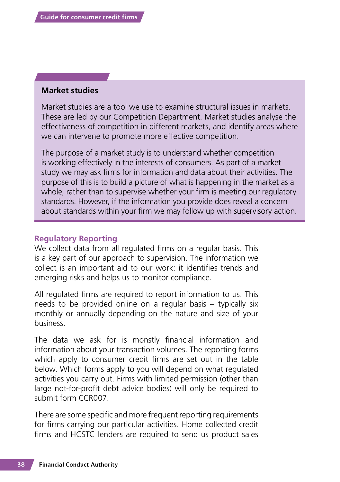#### **Market studies**

Market studies are a tool we use to examine structural issues in markets. These are led by our Competition Department. Market studies analyse the effectiveness of competition in different markets, and identify areas where we can intervene to promote more effective competition.

The purpose of a market study is to understand whether competition is working effectively in the interests of consumers. As part of a market study we may ask firms for information and data about their activities. The purpose of this is to build a picture of what is happening in the market as a whole, rather than to supervise whether your firm is meeting our regulatory standards. However, if the information you provide does reveal a concern about standards within your firm we may follow up with supervisory action.

#### **Regulatory Reporting**

We collect data from all regulated firms on a regular basis. This is a key part of our approach to supervision. The information we collect is an important aid to our work: it identifies trends and emerging risks and helps us to monitor compliance.

All regulated firms are required to report information to us. This needs to be provided online on a regular basis – typically six monthly or annually depending on the nature and size of your business.

The data we ask for is monstly financial information and information about your transaction volumes. The reporting forms which apply to consumer credit firms are set out in the table below. Which forms apply to you will depend on what regulated activities you carry out. Firms with limited permission (other than large not-for-profit debt advice bodies) will only be required to submit form CCR007.

There are some specific and more frequent reporting requirements for firms carrying our particular activities. Home collected credit firms and HCSTC lenders are required to send us product sales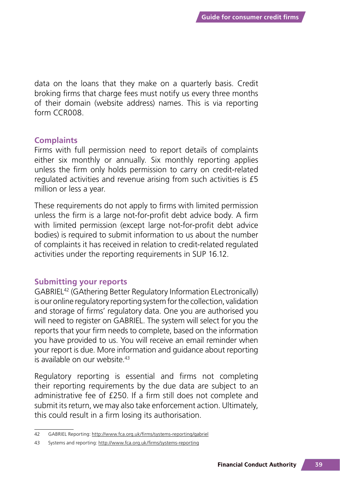data on the loans that they make on a quarterly basis. Credit broking firms that charge fees must notify us every three months of their domain (website address) names. This is via reporting form CCR008.

#### **Complaints**

Firms with full permission need to report details of complaints either six monthly or annually. Six monthly reporting applies unless the firm only holds permission to carry on credit-related regulated activities and revenue arising from such activities is £5 million or less a year.

These requirements do not apply to firms with limited permission unless the firm is a large not-for-profit debt advice body. A firm with limited permission (except large not-for-profit debt advice bodies) is required to submit information to us about the number of complaints it has received in relation to credit-related regulated activities under the reporting requirements in SUP 16.12.

#### **Submitting your reports**

[GABRIEL4](http://www.fca.org.uk/firms/systems-reporting/gabriel)2 (GAthering Better Regulatory Information ELectronically) is our online regulatory reporting system for the collection, validation and storage of firms' regulatory data. One you are authorised you will need to register on GABRIEL. The system will select for you the reports that your firm needs to complete, based on the information you have provided to us. You will receive an email reminder when your report is due. More information and guidance about reporting is available on our [website](http://www.fca.org.uk/firms/systems-reporting).<sup>43</sup>

Regulatory reporting is essential and firms not completing their reporting requirements by the due data are subject to an administrative fee of £250. If a firm still does not complete and submit its return, we may also take enforcement action. Ultimately, this could result in a firm losing its authorisation.

<sup>42</sup> GABRIEL Reporting:<http://www.fca.org.uk/firms/systems-reporting/gabriel>

<sup>43</sup> Systems and reporting: <http://www.fca.org.uk/firms/systems-reporting>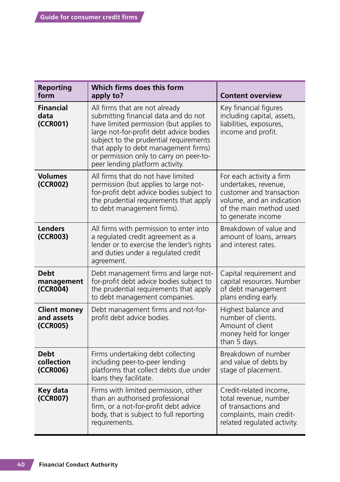| <b>Reporting</b><br>form                      | Which firms does this form<br>apply to?                                                                                                                                                                                                                                                                                      | <b>Content overview</b>                                                                                                                                    |
|-----------------------------------------------|------------------------------------------------------------------------------------------------------------------------------------------------------------------------------------------------------------------------------------------------------------------------------------------------------------------------------|------------------------------------------------------------------------------------------------------------------------------------------------------------|
| <b>Financial</b><br>data<br>(CCR001)          | All firms that are not already<br>submitting financial data and do not<br>have limited permission (but applies to<br>large not-for-profit debt advice bodies<br>subject to the prudential requirements<br>that apply to debt management firms)<br>or permission only to carry on peer-to-<br>peer lending platform activity. | Key financial figures<br>including capital, assets,<br>liabilities, exposures,<br>income and profit.                                                       |
| <b>Volumes</b><br>(CCR002)                    | All firms that do not have limited<br>permission (but applies to large not-<br>for-profit debt advice bodies subject to<br>the prudential requirements that apply<br>to debt management firms).                                                                                                                              | For each activity a firm<br>undertakes, revenue,<br>customer and transaction<br>volume, and an indication<br>of the main method used<br>to generate income |
| <b>Lenders</b><br>(CCR003)                    | All firms with permission to enter into<br>a regulated credit agreement as a<br>lender or to exercise the lender's rights<br>and duties under a regulated credit<br>agreement.                                                                                                                                               | Breakdown of value and<br>amount of loans, arrears<br>and interest rates.                                                                                  |
| <b>Debt</b><br>management<br>(CCR004)         | Debt management firms and large not-<br>for-profit debt advice bodies subject to<br>the prudential requirements that apply<br>to debt management companies.                                                                                                                                                                  | Capital requirement and<br>capital resources. Number<br>of debt management<br>plans ending early.                                                          |
| <b>Client money</b><br>and assets<br>(CCR005) | Debt management firms and not-for-<br>profit debt advice bodies.                                                                                                                                                                                                                                                             | Highest balance and<br>number of clients.<br>Amount of client<br>money held for longer<br>than 5 days.                                                     |
| <b>Debt</b><br>collection<br>(CCR006)         | Firms undertaking debt collecting<br>including peer-to-peer lending<br>platforms that collect debts due under<br>loans they facilitate.                                                                                                                                                                                      | Breakdown of number<br>and value of debts by<br>stage of placement.                                                                                        |
| Key data<br>(CCR007)                          | Firms with limited permission, other<br>than an authorised professional<br>firm, or a not-for-profit debt advice<br>body, that is subject to full reporting<br>requirements.                                                                                                                                                 | Credit-related income,<br>total revenue, number<br>of transactions and<br>complaints, main credit-<br>related regulated activity.                          |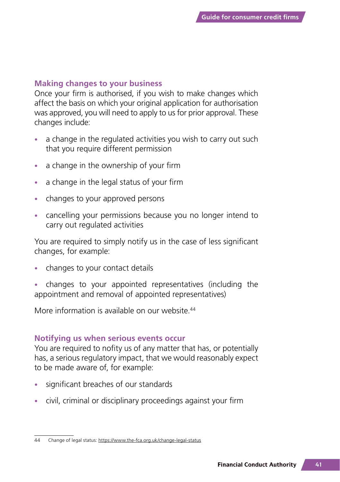#### **Making changes to your business**

Once your firm is authorised, if you wish to make changes which affect the basis on which your original application for authorisation was approved, you will need to apply to us for prior approval. These changes include:

- **•** a change in the regulated activities you wish to carry out such that you require different permission
- **•** a change in the ownership of your firm
- **•** a change in the legal status of your firm
- **•** changes to your approved persons
- **•** cancelling your permissions because you no longer intend to carry out regulated activities

You are required to simply notify us in the case of less significant changes, for example:

- **•** changes to your contact details
- **•** changes to your appointed representatives (including the appointment and removal of appointed representatives)

More information is available on our [website.](https://www.the-fca.org.uk/change-legal-status)<sup>44</sup>

#### **Notifying us when serious events occur**

You are required to nofity us of any matter that has, or potentially has, a serious regulatory impact, that we would reasonably expect to be made aware of, for example:

- **•** significant breaches of our standards
- **•** civil, criminal or disciplinary proceedings against your firm

<sup>44</sup> Change of legal status: <https://www.the-fca.org.uk/change-legal-status>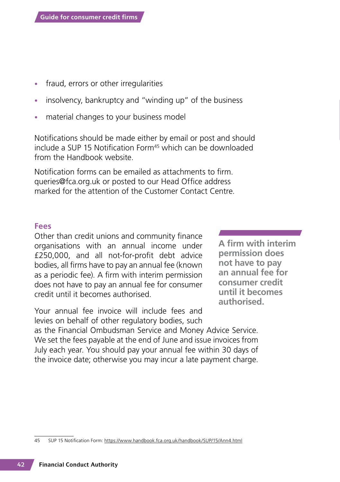- **•** fraud, errors or other irregularities
- **•** insolvency, bankruptcy and "winding up" of the business
- **•** material changes to your business model

Notifications should be made either by email or post and should include a [SUP 15 Notification Form](https://www.handbook.fca.org.uk/handbook/SUP/15/Ann4.html)<sup>45</sup> which can be downloaded from the Handbook website.

Notification forms can be emailed as attachments to [firm.](mailto:firm.queries%40fca.org.uk?subject=) [queries@fca.org.uk](mailto:firm.queries%40fca.org.uk?subject=) or posted to our Head Office address marked for the attention of the Customer Contact Centre.

#### **Fees**

Other than credit unions and community finance organisations with an annual income under £250,000, and all not-for-profit debt advice bodies, all firms have to pay an annual fee (known as a periodic fee). A firm with interim permission does not have to pay an annual fee for consumer credit until it becomes authorised.

Your annual fee invoice will include fees and levies on behalf of other regulatory bodies, such **A firm with interim permission does not have to pay an annual fee for consumer credit until it becomes authorised.**

as the Financial Ombudsman Service and Money Advice Service. We set the fees payable at the end of June and issue invoices from July each year. You should pay your annual fee within 30 days of the invoice date; otherwise you may incur a late payment charge.

<sup>45</sup> SUP 15 Notification Form: <https://www.handbook.fca.org.uk/handbook/SUP/15/Ann4.html>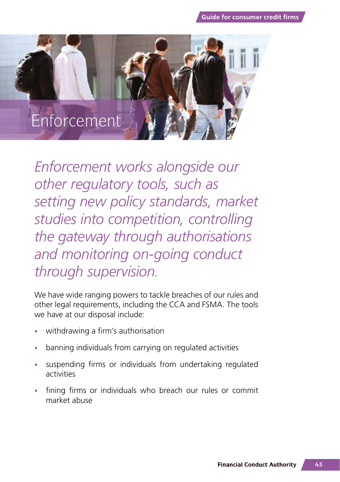<span id="page-42-0"></span>

*Enforcement works alongside our other regulatory tools, such as setting new policy standards, market studies into competition, controlling the gateway through authorisations and monitoring on-going conduct through supervision.*

We have wide ranging powers to tackle breaches of our rules and other legal requirements, including the CCA and FSMA. The tools we have at our disposal include:

- **•** withdrawing a firm's authorisation
- **•** banning individuals from carrying on regulated activities
- **•** suspending firms or individuals from undertaking regulated activities
- **•** fining firms or individuals who breach our rules or commit market abuse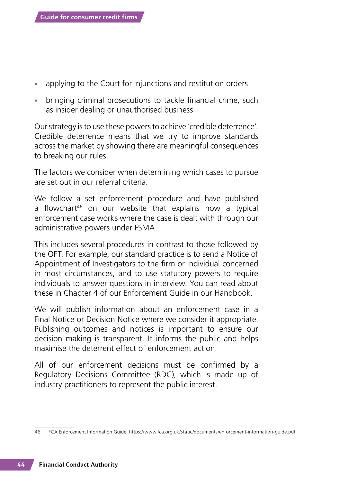- **•** applying to the Court for injunctions and restitution orders
- **•** bringing criminal prosecutions to tackle financial crime, such as insider dealing or unauthorised business

Our strategy is to use these powers to achieve 'credible deterrence'. Credible deterrence means that we try to improve standards across the market by showing there are meaningful consequences to breaking our rules.

The factors we consider when determining which cases to pursue are set out in our referral criteria.

We follow a set enforcement procedure and have published a [flowchart](https://www.fca.org.uk/static/documents/enforcement-information-guide.pdf)<sup>46</sup> on our website that explains how a typical enforcement case works where the case is dealt with through our administrative powers under FSMA.

This includes several procedures in contrast to those followed by the OFT. For example, our standard practice is to send a Notice of Appointment of Investigators to the firm or individual concerned in most circumstances, and to use statutory powers to require individuals to answer questions in interview. You can read about these in Chapter 4 of our Enforcement Guide in our Handbook.

We will publish information about an enforcement case in a Final Notice or Decision Notice where we consider it appropriate. Publishing outcomes and notices is important to ensure our decision making is transparent. It informs the public and helps maximise the deterrent effect of enforcement action.

All of our enforcement decisions must be confirmed by a Regulatory Decisions Committee (RDC), which is made up of industry practitioners to represent the public interest.

<sup>46</sup> FCA Enforcement Information Guide:<https://www.fca.org.uk/static/documents/enforcement-information-guide.pdf>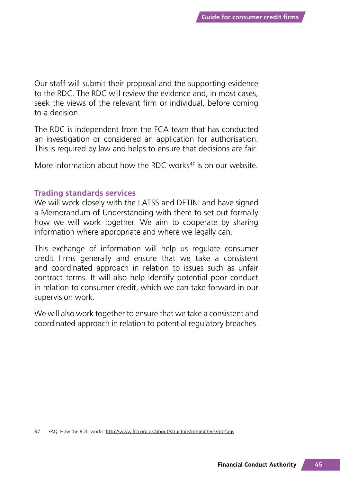Our staff will submit their proposal and the supporting evidence to the RDC. The RDC will review the evidence and, in most cases, seek the views of the relevant firm or individual, before coming to a decision.

The RDC is independent from the FCA team that has conducted an investigation or considered an application for authorisation. This is required by law and helps to ensure that decisions are fair.

More information about how the RDC [works](http://www.fca.org.uk/about/structure/committees/rdc-faqs) $47$  is on our website.

#### **Trading standards services**

We will work closely with the LATSS and DETINI and have signed a Memorandum of Understanding with them to set out formally how we will work together. We aim to cooperate by sharing information where appropriate and where we legally can.

This exchange of information will help us regulate consumer credit firms generally and ensure that we take a consistent and coordinated approach in relation to issues such as unfair contract terms. It will also help identify potential poor conduct in relation to consumer credit, which we can take forward in our supervision work.

We will also work together to ensure that we take a consistent and coordinated approach in relation to potential regulatory breaches.

<sup>47</sup> FAQ: How the RDC works:<http://www.fca.org.uk/about/structure/committees/rdc-faqs>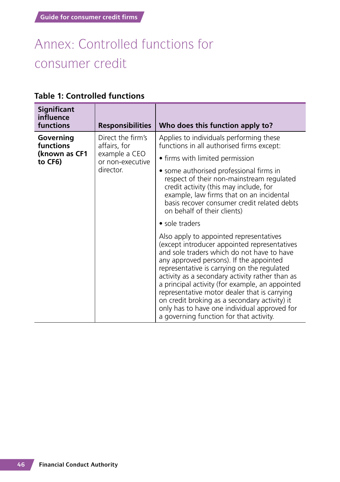## <span id="page-45-0"></span>Annex: Controlled functions for consumer credit

| <b>Significant</b><br>influence<br>functions | <b>Responsibilities</b>                                                                                                                                                                                                                                  | Who does this function apply to?                                                                                                                                                                                                                                                                                                                                                                                                                                                                                                  |
|----------------------------------------------|----------------------------------------------------------------------------------------------------------------------------------------------------------------------------------------------------------------------------------------------------------|-----------------------------------------------------------------------------------------------------------------------------------------------------------------------------------------------------------------------------------------------------------------------------------------------------------------------------------------------------------------------------------------------------------------------------------------------------------------------------------------------------------------------------------|
| Governing<br>functions<br>(known as CF1      | Direct the firm's<br>affairs, for<br>example a CEO<br>or non-executive                                                                                                                                                                                   | Applies to individuals performing these<br>functions in all authorised firms except:                                                                                                                                                                                                                                                                                                                                                                                                                                              |
| to CF6)                                      |                                                                                                                                                                                                                                                          | • firms with limited permission                                                                                                                                                                                                                                                                                                                                                                                                                                                                                                   |
| director.                                    | • some authorised professional firms in<br>respect of their non-mainstream regulated<br>credit activity (this may include, for<br>example, law firms that on an incidental<br>basis recover consumer credit related debts<br>on behalf of their clients) |                                                                                                                                                                                                                                                                                                                                                                                                                                                                                                                                   |
|                                              |                                                                                                                                                                                                                                                          | • sole traders                                                                                                                                                                                                                                                                                                                                                                                                                                                                                                                    |
|                                              |                                                                                                                                                                                                                                                          | Also apply to appointed representatives<br>(except introducer appointed representatives<br>and sole traders which do not have to have<br>any approved persons). If the appointed<br>representative is carrying on the regulated<br>activity as a secondary activity rather than as<br>a principal activity (for example, an appointed<br>representative motor dealer that is carrying<br>on credit broking as a secondary activity) it<br>only has to have one individual approved for<br>a governing function for that activity. |

#### **Table 1: Controlled functions**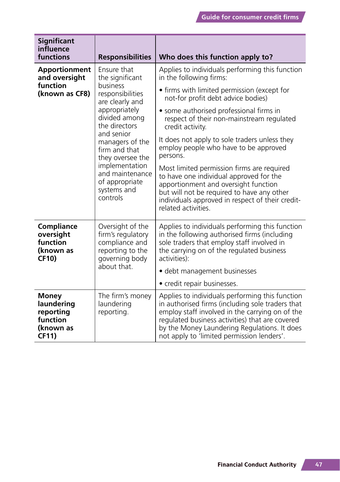| <b>Significant</b><br>influence<br>functions                                     | <b>Responsibilities</b>                                                                                                                                                                                                                                                                      | Who does this function apply to?                                                                                                                                                                                                                                                                        |
|----------------------------------------------------------------------------------|----------------------------------------------------------------------------------------------------------------------------------------------------------------------------------------------------------------------------------------------------------------------------------------------|---------------------------------------------------------------------------------------------------------------------------------------------------------------------------------------------------------------------------------------------------------------------------------------------------------|
| Apportionment<br>and oversight<br>function<br>(known as CF8)                     | Ensure that<br>the significant<br>business<br>responsibilities<br>are clearly and<br>appropriately<br>divided among<br>the directors<br>and senior<br>managers of the<br>firm and that<br>they oversee the<br>implementation<br>and maintenance<br>of appropriate<br>systems and<br>controls | Applies to individuals performing this function<br>in the following firms:                                                                                                                                                                                                                              |
|                                                                                  |                                                                                                                                                                                                                                                                                              | • firms with limited permission (except for<br>not-for profit debt advice bodies)                                                                                                                                                                                                                       |
|                                                                                  |                                                                                                                                                                                                                                                                                              | • some authorised professional firms in<br>respect of their non-mainstream regulated<br>credit activity.                                                                                                                                                                                                |
|                                                                                  |                                                                                                                                                                                                                                                                                              | It does not apply to sole traders unless they<br>employ people who have to be approved<br>persons.                                                                                                                                                                                                      |
|                                                                                  |                                                                                                                                                                                                                                                                                              | Most limited permission firms are required<br>to have one individual approved for the<br>apportionment and oversight function<br>but will not be required to have any other<br>individuals approved in respect of their credit-<br>related activities.                                                  |
| Compliance<br>oversight<br>function<br>(known as<br><b>CF10)</b>                 | Oversight of the<br>firm's regulatory<br>compliance and<br>reporting to the<br>governing body<br>about that.                                                                                                                                                                                 | Applies to individuals performing this function<br>in the following authorised firms (including<br>sole traders that employ staff involved in<br>the carrying on of the regulated business<br>activities):<br>• debt management businesses                                                              |
|                                                                                  |                                                                                                                                                                                                                                                                                              | • credit repair businesses.                                                                                                                                                                                                                                                                             |
| <b>Money</b><br>laundering<br>reporting<br>function<br>(known as<br><b>CF11)</b> | The firm's money<br>laundering<br>reporting.                                                                                                                                                                                                                                                 | Applies to individuals performing this function<br>in authorised firms (including sole traders that<br>employ staff involved in the carrying on of the<br>regulated business activities) that are covered<br>by the Money Laundering Regulations. It does<br>not apply to 'limited permission lenders'. |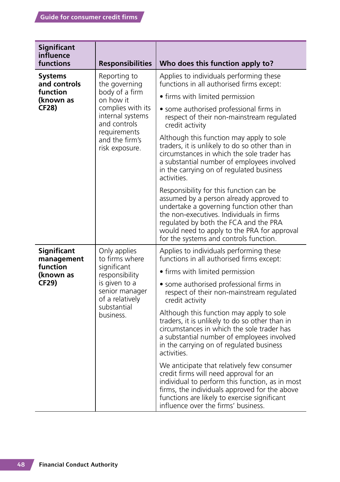| <b>Significant</b><br>infiuence<br>functions                            | <b>Responsibilities</b>                                                                                                                                                                    | Who does this function apply to?                                                                                                                                                                                                                                                                              |
|-------------------------------------------------------------------------|--------------------------------------------------------------------------------------------------------------------------------------------------------------------------------------------|---------------------------------------------------------------------------------------------------------------------------------------------------------------------------------------------------------------------------------------------------------------------------------------------------------------|
| <b>Systems</b><br>and controls<br>function<br>(known as<br><b>CF28)</b> | Reporting to<br>the governing<br>body of a firm<br>on how it<br>complies with its<br>internal systems<br>and controls<br>requirements<br>and the firm's<br>risk exposure.                  | Applies to individuals performing these<br>functions in all authorised firms except:                                                                                                                                                                                                                          |
|                                                                         |                                                                                                                                                                                            | • firms with limited permission                                                                                                                                                                                                                                                                               |
|                                                                         |                                                                                                                                                                                            | • some authorised professional firms in<br>respect of their non-mainstream regulated<br>credit activity                                                                                                                                                                                                       |
|                                                                         |                                                                                                                                                                                            | Although this function may apply to sole<br>traders, it is unlikely to do so other than in<br>circumstances in which the sole trader has<br>a substantial number of employees involved<br>in the carrying on of regulated business<br>activities.                                                             |
|                                                                         |                                                                                                                                                                                            | Responsibility for this function can be<br>assumed by a person already approved to<br>undertake a governing function other than<br>the non-executives. Individuals in firms<br>regulated by both the FCA and the PRA<br>would need to apply to the PRA for approval<br>for the systems and controls function. |
| <b>Significant</b><br>management                                        | Only applies<br>to firms where<br>function<br>significant<br>(known as<br>responsibility<br><b>CF29)</b><br>is given to a<br>senior manager<br>of a relatively<br>substantial<br>business. | Applies to individuals performing these<br>functions in all authorised firms except:                                                                                                                                                                                                                          |
|                                                                         |                                                                                                                                                                                            | • firms with limited permission                                                                                                                                                                                                                                                                               |
|                                                                         |                                                                                                                                                                                            | • some authorised professional firms in<br>respect of their non-mainstream regulated<br>credit activity                                                                                                                                                                                                       |
|                                                                         |                                                                                                                                                                                            | Although this function may apply to sole<br>traders, it is unlikely to do so other than in<br>circumstances in which the sole trader has<br>a substantial number of employees involved<br>in the carrying on of regulated business<br>activities.                                                             |
|                                                                         |                                                                                                                                                                                            | We anticipate that relatively few consumer<br>credit firms will need approval for an<br>individual to perform this function, as in most<br>firms, the individuals approved for the above<br>functions are likely to exercise significant<br>influence over the firms' business.                               |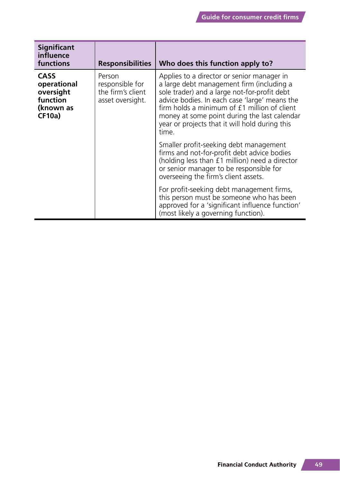| <b>Significant</b><br>influence<br>functions                               | <b>Responsibilities</b>                                            | Who does this function apply to?                                                                                                                                                                                                                                                                                                                    |
|----------------------------------------------------------------------------|--------------------------------------------------------------------|-----------------------------------------------------------------------------------------------------------------------------------------------------------------------------------------------------------------------------------------------------------------------------------------------------------------------------------------------------|
| <b>CASS</b><br>operational<br>oversight<br>function<br>(known as<br>CF10a) | Person<br>responsible for<br>the firm's client<br>asset oversight. | Applies to a director or senior manager in<br>a large debt management firm (including a<br>sole trader) and a large not-for-profit debt<br>advice bodies. In each case 'large' means the<br>firm holds a minimum of £1 million of client<br>money at some point during the last calendar<br>year or projects that it will hold during this<br>time. |
|                                                                            |                                                                    | Smaller profit-seeking debt management<br>firms and not-for-profit debt advice bodies<br>(holding less than £1 million) need a director<br>or senior manager to be responsible for<br>overseeing the firm's client assets.                                                                                                                          |
|                                                                            |                                                                    | For profit-seeking debt management firms,<br>this person must be someone who has been<br>approved for a 'significant influence function'<br>(most likely a governing function).                                                                                                                                                                     |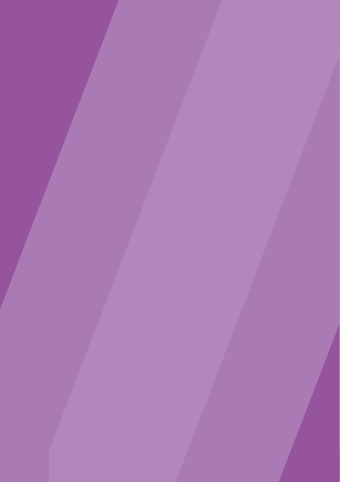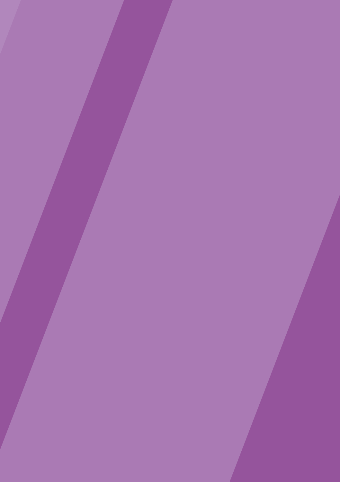